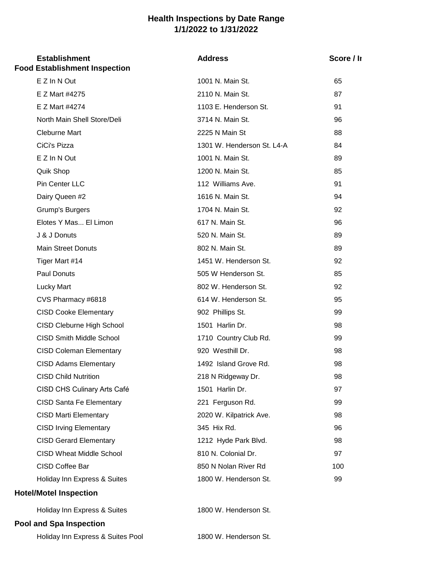## **Health Inspections by Date Range 1/1/2022 to 1/31/2022**

## **Establishment Address** Holiday Inn Express & Suites 1800 W. Henderson St. **Pool and Spa Inspection** Holiday Inn Express & Suites 1800 W. Henderson St. 99 **Hotel/Motel Inspection** CISD Wheat Middle School 810 N. Colonial Dr. 97 CISD Coffee Bar 600 N Nolan River Rd 100 CISD Irving Elementary 345 Hix Rd. 96 CISD Gerard Elementary 1212 Hyde Park Blvd. 98 CISD Santa Fe Elementary 221 Ferguson Rd. 99 CISD Marti Elementary 2020 W. Kilpatrick Ave. 98 CISD Child Nutrition 218 N Ridgeway Dr. 98 CISD CHS Culinary Arts Café 1501 Harlin Dr. 97 CISD Coleman Elementary 920 Westhill Dr. 98 CISD Adams Elementary 1492 Island Grove Rd. 98 CISD Cleburne High School 1501 Harlin Dr. 98 CISD Smith Middle School 1710 Country Club Rd. 99 CVS Pharmacy #6818 **614 W. Henderson St.** 95 CISD Cooke Elementary 902 Phillips St. 99 Paul Donuts 605 W Henderson St. 6505 W Henderson St. 6505 W Henderson St. Lucky Mart 802 W. Henderson St. 802 W. Henderson St. Main Street Donuts 602 N. Main St. 689 Tiger Mart #14 1451 W. Henderson St. 92 Elotes Y Mas... El Limon 617 N. Main St. 96 J & J Donuts 520 N. Main St. 89 Dairy Queen #2 1616 N. Main St. 94 Grump's Burgers **1704 N. Main St.** 92 Quik Shop **1200 N. Main St.** 85 Pin Center LLC 112 Williams Ave. 91 CiCi's Pizza 1301 W. Henderson St. L4-A 84 E Z In N Out 1001 N. Main St. 89 North Main Shell Store/Deli 3714 N. Main St. 96 Cleburne Mart 2225 N Main St 88 E Z Mart #4275 2110 N. Main St. 87 E Z Mart #4274 1103 E. Henderson St. 91 Score / Ir **Food Establishment Inspection** E Z In N Out **1001 N. Main St.** 65

Holiday Inn Express & Suites Pool 1800 W. Henderson St.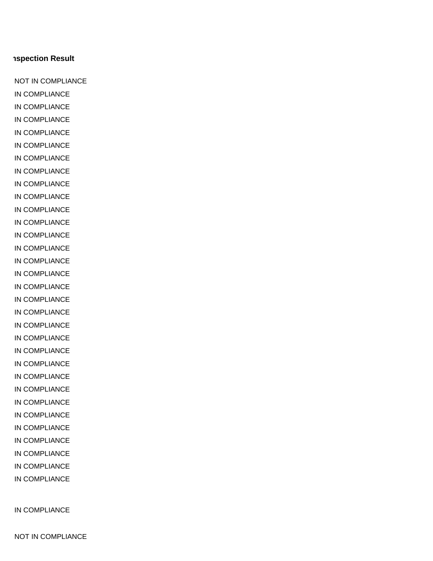## NOT IN COMPLIANCE

IN COMPLIANCE

IN COMPLIANCE IN COMPLIANCE IN COMPLIANCE IN COMPLIANCE IN COMPLIANCE IN COMPLIANCE IN COMPLIANCE IN COMPLIANCE IN COMPLIANCE IN COMPLIANCE IN COMPLIANCE IN COMPLIANCE IN COMPLIANCE IN COMPLIANCE IN COMPLIANCE IN COMPLIANCE IN COMPLIANCE IN COMPLIANCE IN COMPLIANCE IN COMPLIANCE IN COMPLIANCE IN COMPLIANCE IN COMPLIANCE IN COMPLIANCE IN COMPLIANCE IN COMPLIANCE IN COMPLIANCE IN COMPLIANCE IN COMPLIANCE IN COMPLIANCE IN COMPLIANCE NOT IN COMPLIANCE

**Aspection Result**